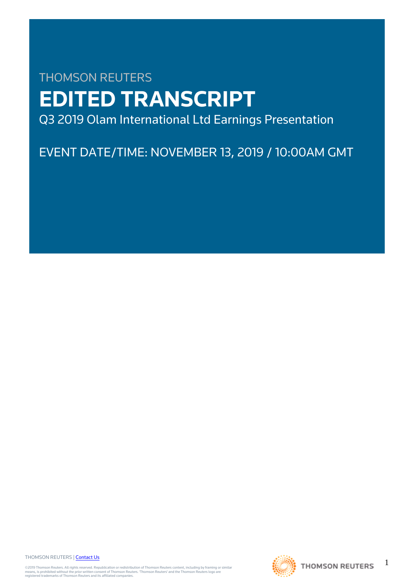# THOMSON REUTERS **EDITED TRANSCRIPT** Q3 2019 Olam International Ltd Earnings Presentation

EVENT DATE/TIME: NOVEMBER 13, 2019 / 10:00AM GMT

THOMSON REUTERS | [Contact Us](https://my.thomsonreuters.com/ContactUsNew)

©2019 Thomson Reuters. All rights reserved. Republication or redistribution of Thomson Reuters content, including by framing or similar<br>means, is prohibited without the prior written consent of Thomson Reuters. "Thomson Re



1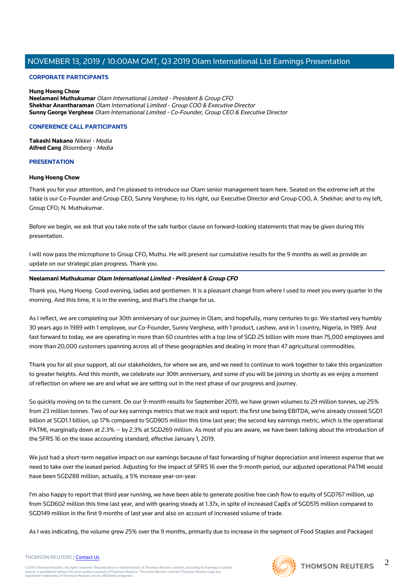## **CORPORATE PARTICIPANTS**

#### **Hung Hoeng Chow Neelamani Muthukumar** Olam International Limited - President & Group CFO **Shekhar Anantharaman** Olam International Limited - Group COO & Executive Director **Sunny George Verghese** Olam International Limited - Co-Founder, Group CEO & Executive Director

## **CONFERENCE CALL PARTICIPANTS**

**Takashi Nakano** Nikkei - Media **Alfred Cang** Bloomberg - Media

## **PRESENTATION**

## **Hung Hoeng Chow**

Thank you for your attention, and I'm pleased to introduce our Olam senior management team here. Seated on the extreme left at the table is our Co-Founder and Group CEO, Sunny Verghese; to his right, our Executive Director and Group COO, A. Shekhar; and to my left, Group CFO; N. Muthukumar.

Before we begin, we ask that you take note of the safe harbor clause on forward-looking statements that may be given during this presentation.

I will now pass the microphone to Group CFO, Muthu. He will present our cumulative results for the 9 months as well as provide an update on our strategic plan progress. Thank you.

## **Neelamani Muthukumar Olam International Limited - President & Group CFO**

Thank you, Hung Hoeng. Good evening, ladies and gentlemen. It is a pleasant change from where I used to meet you every quarter in the morning. And this time, it is in the evening, and that's the change for us.

As I reflect, we are completing our 30th anniversary of our journey in Olam, and hopefully, many centuries to go. We started very humbly 30 years ago in 1989 with 1 employee, our Co-Founder, Sunny Verghese, with 1 product, cashew, and in 1 country, Nigeria, in 1989. And fast forward to today, we are operating in more than 60 countries with a top line of SGD 25 billion with more than 75,000 employees and more than 20,000 customers spanning across all of these geographies and dealing in more than 47 agricultural commodities.

Thank you for all your support, all our stakeholders, for where we are, and we need to continue to work together to take this organization to greater heights. And this month, we celebrate our 30th anniversary, and some of you will be joining us shortly as we enjoy a moment of reflection on where we are and what we are setting out in the next phase of our progress and journey.

So quickly moving on to the current. On our 9-month results for September 2019, we have grown volumes to 29 million tonnes, up 25% from 23 million tonnes. Two of our key earnings metrics that we track and report: the first one being EBITDA, we're already crossed SGD1 billion at SGD1.1 billion, up 17% compared to SGD905 million this time last year; the second key earnings metric, which is the operational PATMI, marginally down at 2.3% -- by 2.3% at SGD269 million. As most of you are aware, we have been talking about the introduction of the SFRS 16 on the lease accounting standard, effective January 1, 2019.

We just had a short-term negative impact on our earnings because of fast forwarding of higher depreciation and interest expense that we need to take over the leased period. Adjusting for the impact of SFRS 16 over the 9-month period, our adjusted operational PATMI would have been SGD288 million, actually, a 5% increase year-on-year.

I'm also happy to report that third year running, we have been able to generate positive free cash flow to equity of SGD767 million, up from SGD602 million this time last year, and with gearing steady at 1.37x, in spite of increased CapEx of SGD515 million compared to SGD149 million in the first 9 months of last year and also on account of increased volume of trade.

As I was indicating, the volume grew 25% over the 9 months, primarily due to increase in the segment of Food Staples and Packaged



THOMSON REUTERS | [Contact Us](https://my.thomsonreuters.com/ContactUsNew)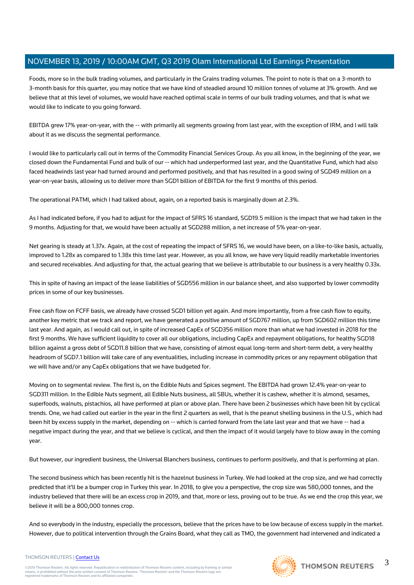Foods, more so in the bulk trading volumes, and particularly in the Grains trading volumes. The point to note is that on a 3-month to 3-month basis for this quarter, you may notice that we have kind of steadied around 10 million tonnes of volume at 3% growth. And we believe that at this level of volumes, we would have reached optimal scale in terms of our bulk trading volumes, and that is what we would like to indicate to you going forward.

EBITDA grew 17% year-on-year, with the -- with primarily all segments growing from last year, with the exception of IRM, and I will talk about it as we discuss the segmental performance.

I would like to particularly call out in terms of the Commodity Financial Services Group. As you all know, in the beginning of the year, we closed down the Fundamental Fund and bulk of our -- which had underperformed last year, and the Quantitative Fund, which had also faced headwinds last year had turned around and performed positively, and that has resulted in a good swing of SGD49 million on a year-on-year basis, allowing us to deliver more than SGD1 billion of EBITDA for the first 9 months of this period.

The operational PATMI, which I had talked about, again, on a reported basis is marginally down at 2.3%.

As I had indicated before, if you had to adjust for the impact of SFRS 16 standard, SGD19.5 million is the impact that we had taken in the 9 months. Adjusting for that, we would have been actually at SGD288 million, a net increase of 5% year-on-year.

Net gearing is steady at 1.37x. Again, at the cost of repeating the impact of SFRS 16, we would have been, on a like-to-like basis, actually, improved to 1.28x as compared to 1.38x this time last year. However, as you all know, we have very liquid readily marketable inventories and secured receivables. And adjusting for that, the actual gearing that we believe is attributable to our business is a very healthy 0.33x.

This in spite of having an impact of the lease liabilities of SGD556 million in our balance sheet, and also supported by lower commodity prices in some of our key businesses.

Free cash flow on FCFF basis, we already have crossed SGD1 billion yet again. And more importantly, from a free cash flow to equity, another key metric that we track and report, we have generated a positive amount of SGD767 million, up from SGD602 million this time last year. And again, as I would call out, in spite of increased CapEx of SGD356 million more than what we had invested in 2018 for the first 9 months. We have sufficient liquidity to cover all our obligations, including CapEx and repayment obligations, for healthy SGD18 billion against a gross debt of SGD11.8 billion that we have, consisting of almost equal long-term and short-term debt, a very healthy headroom of SGD7.1 billion will take care of any eventualities, including increase in commodity prices or any repayment obligation that we will have and/or any CapEx obligations that we have budgeted for.

Moving on to segmental review. The first is, on the Edible Nuts and Spices segment. The EBITDA had grown 12.4% year-on-year to SGD311 million. In the Edible Nuts segment, all Edible Nuts business, all SBUs, whether it is cashew, whether it is almond, sesames, superfoods, walnuts, pistachios, all have performed at plan or above plan. There have been 2 businesses which have been hit by cyclical trends. One, we had called out earlier in the year in the first 2 quarters as well, that is the peanut shelling business in the U.S., which had been hit by excess supply in the market, depending on -- which is carried forward from the late last year and that we have -- had a negative impact during the year, and that we believe is cyclical, and then the impact of it would largely have to blow away in the coming year.

But however, our ingredient business, the Universal Blanchers business, continues to perform positively, and that is performing at plan.

The second business which has been recently hit is the hazelnut business in Turkey. We had looked at the crop size, and we had correctly predicted that it'll be a bumper crop in Turkey this year. In 2018, to give you a perspective, the crop size was 580,000 tonnes, and the industry believed that there will be an excess crop in 2019, and that, more or less, proving out to be true. As we end the crop this year, we believe it will be a 800,000 tonnes crop.

And so everybody in the industry, especially the processors, believe that the prices have to be low because of excess supply in the market. However, due to political intervention through the Grains Board, what they call as TMO, the government had intervened and indicated a

#### THOMSON REUTERS | [Contact Us](https://my.thomsonreuters.com/ContactUsNew)

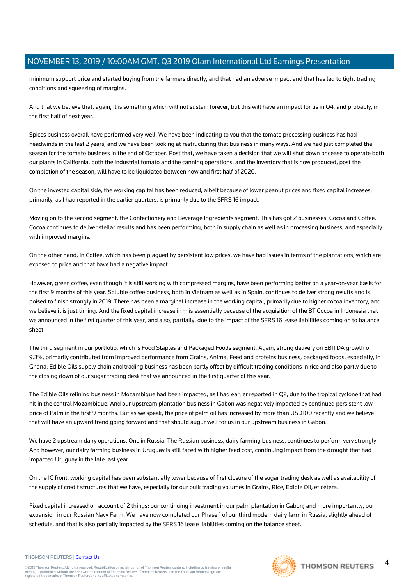minimum support price and started buying from the farmers directly, and that had an adverse impact and that has led to tight trading conditions and squeezing of margins.

And that we believe that, again, it is something which will not sustain forever, but this will have an impact for us in Q4, and probably, in the first half of next year.

Spices business overall have performed very well. We have been indicating to you that the tomato processing business has had headwinds in the last 2 years, and we have been looking at restructuring that business in many ways. And we had just completed the season for the tomato business in the end of October. Post that, we have taken a decision that we will shut down or cease to operate both our plants in California, both the industrial tomato and the canning operations, and the inventory that is now produced, post the completion of the season, will have to be liquidated between now and first half of 2020.

On the invested capital side, the working capital has been reduced, albeit because of lower peanut prices and fixed capital increases, primarily, as I had reported in the earlier quarters, is primarily due to the SFRS 16 impact.

Moving on to the second segment, the Confectionery and Beverage Ingredients segment. This has got 2 businesses: Cocoa and Coffee. Cocoa continues to deliver stellar results and has been performing, both in supply chain as well as in processing business, and especially with improved margins.

On the other hand, in Coffee, which has been plagued by persistent low prices, we have had issues in terms of the plantations, which are exposed to price and that have had a negative impact.

However, green coffee, even though it is still working with compressed margins, have been performing better on a year-on-year basis for the first 9 months of this year. Soluble coffee business, both in Vietnam as well as in Spain, continues to deliver strong results and is poised to finish strongly in 2019. There has been a marginal increase in the working capital, primarily due to higher cocoa inventory, and we believe it is just timing. And the fixed capital increase in -- is essentially because of the acquisition of the BT Cocoa in Indonesia that we announced in the first quarter of this year, and also, partially, due to the impact of the SFRS 16 lease liabilities coming on to balance sheet.

The third segment in our portfolio, which is Food Staples and Packaged Foods segment. Again, strong delivery on EBITDA growth of 9.3%, primarily contributed from improved performance from Grains, Animal Feed and proteins business, packaged foods, especially, in Ghana. Edible Oils supply chain and trading business has been partly offset by difficult trading conditions in rice and also partly due to the closing down of our sugar trading desk that we announced in the first quarter of this year.

The Edible Oils refining business in Mozambique had been impacted, as I had earlier reported in Q2, due to the tropical cyclone that had hit in the central Mozambique. And our upstream plantation business in Gabon was negatively impacted by continued persistent low price of Palm in the first 9 months. But as we speak, the price of palm oil has increased by more than USD100 recently and we believe that will have an upward trend going forward and that should augur well for us in our upstream business in Gabon.

We have 2 upstream dairy operations. One in Russia. The Russian business, dairy farming business, continues to perform very strongly. And however, our dairy farming business in Uruguay is still faced with higher feed cost, continuing impact from the drought that had impacted Uruguay in the late last year.

On the IC front, working capital has been substantially lower because of first closure of the sugar trading desk as well as availability of the supply of credit structures that we have, especially for our bulk trading volumes in Grains, Rice, Edible Oil, et cetera.

Fixed capital increased on account of 2 things: our continuing investment in our palm plantation in Gabon; and more importantly, our expansion in our Russian Navy Farm. We have now completed our Phase 1 of our third modern dairy farm in Russia, slightly ahead of schedule, and that is also partially impacted by the SFRS 16 lease liabilities coming on the balance sheet.

#### THOMSON REUTERS | [Contact Us](https://my.thomsonreuters.com/ContactUsNew)

©2019 Thomson Reuters. All rights reserved. Republication or redistribution of Thomson Reuters content, including by framing or similar<br>means, is prohibited without the prior written consent of Thomson Reuters. "Thomson Re



4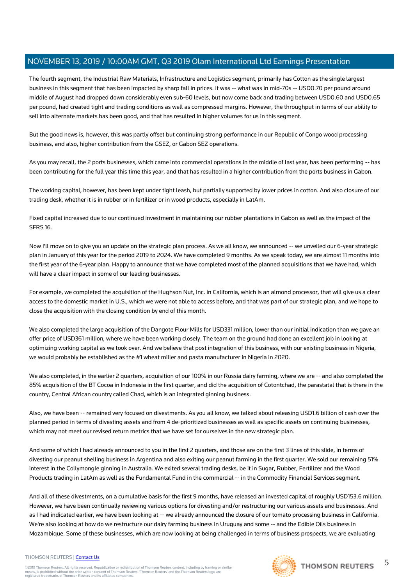The fourth segment, the Industrial Raw Materials, Infrastructure and Logistics segment, primarily has Cotton as the single largest business in this segment that has been impacted by sharp fall in prices. It was -- what was in mid-70s -- USD0.70 per pound around middle of August had dropped down considerably even sub-60 levels, but now come back and trading between USD0.60 and USD0.65 per pound, had created tight and trading conditions as well as compressed margins. However, the throughput in terms of our ability to sell into alternate markets has been good, and that has resulted in higher volumes for us in this segment.

But the good news is, however, this was partly offset but continuing strong performance in our Republic of Congo wood processing business, and also, higher contribution from the GSEZ, or Gabon SEZ operations.

As you may recall, the 2 ports businesses, which came into commercial operations in the middle of last year, has been performing -- has been contributing for the full year this time this year, and that has resulted in a higher contribution from the ports business in Gabon.

The working capital, however, has been kept under tight leash, but partially supported by lower prices in cotton. And also closure of our trading desk, whether it is in rubber or in fertilizer or in wood products, especially in LatAm.

Fixed capital increased due to our continued investment in maintaining our rubber plantations in Gabon as well as the impact of the SFRS 16.

Now I'll move on to give you an update on the strategic plan process. As we all know, we announced -- we unveiled our 6-year strategic plan in January of this year for the period 2019 to 2024. We have completed 9 months. As we speak today, we are almost 11 months into the first year of the 6-year plan. Happy to announce that we have completed most of the planned acquisitions that we have had, which will have a clear impact in some of our leading businesses.

For example, we completed the acquisition of the Hughson Nut, Inc. in California, which is an almond processor, that will give us a clear access to the domestic market in U.S., which we were not able to access before, and that was part of our strategic plan, and we hope to close the acquisition with the closing condition by end of this month.

We also completed the large acquisition of the Dangote Flour Mills for USD331 million, lower than our initial indication than we gave an offer price of USD361 million, where we have been working closely. The team on the ground had done an excellent job in looking at optimizing working capital as we took over. And we believe that post integration of this business, with our existing business in Nigeria, we would probably be established as the #1 wheat miller and pasta manufacturer in Nigeria in 2020.

We also completed, in the earlier 2 quarters, acquisition of our 100% in our Russia dairy farming, where we are -- and also completed the 85% acquisition of the BT Cocoa in Indonesia in the first quarter, and did the acquisition of Cotontchad, the parastatal that is there in the country, Central African country called Chad, which is an integrated ginning business.

Also, we have been -- remained very focused on divestments. As you all know, we talked about releasing USD1.6 billion of cash over the planned period in terms of divesting assets and from 4 de-prioritized businesses as well as specific assets on continuing businesses, which may not meet our revised return metrics that we have set for ourselves in the new strategic plan.

And some of which I had already announced to you in the first 2 quarters, and those are on the first 3 lines of this slide, in terms of divesting our peanut shelling business in Argentina and also exiting our peanut farming in the first quarter. We sold our remaining 51% interest in the Collymongle ginning in Australia. We exited several trading desks, be it in Sugar, Rubber, Fertilizer and the Wood Products trading in LatAm as well as the Fundamental Fund in the commercial -- in the Commodity Financial Services segment.

And all of these divestments, on a cumulative basis for the first 9 months, have released an invested capital of roughly USD153.6 million. However, we have been continually reviewing various options for divesting and/or restructuring our various assets and businesses. And as I had indicated earlier, we have been looking at -- we already announced the closure of our tomato processing business in California. We're also looking at how do we restructure our dairy farming business in Uruguay and some -- and the Edible Oils business in Mozambique. Some of these businesses, which are now looking at being challenged in terms of business prospects, we are evaluating

#### THOMSON REUTERS | [Contact Us](https://my.thomsonreuters.com/ContactUsNew)

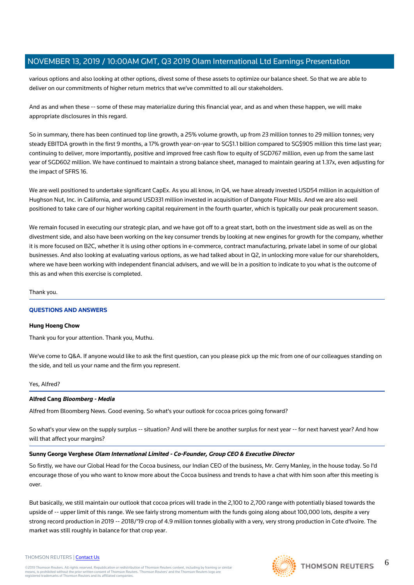various options and also looking at other options, divest some of these assets to optimize our balance sheet. So that we are able to deliver on our commitments of higher return metrics that we've committed to all our stakeholders.

And as and when these -- some of these may materialize during this financial year, and as and when these happen, we will make appropriate disclosures in this regard.

So in summary, there has been continued top line growth, a 25% volume growth, up from 23 million tonnes to 29 million tonnes; very steady EBITDA growth in the first 9 months, a 17% growth year-on-year to SG\$1.1 billion compared to SG\$905 million this time last year; continuing to deliver, more importantly, positive and improved free cash flow to equity of SGD767 million, even up from the same last year of SGD602 million. We have continued to maintain a strong balance sheet, managed to maintain gearing at 1.37x, even adjusting for the impact of SFRS 16.

We are well positioned to undertake significant CapEx. As you all know, in Q4, we have already invested USD54 million in acquisition of Hughson Nut, Inc. in California, and around USD331 million invested in acquisition of Dangote Flour Mills. And we are also well positioned to take care of our higher working capital requirement in the fourth quarter, which is typically our peak procurement season.

We remain focused in executing our strategic plan, and we have got off to a great start, both on the investment side as well as on the divestment side, and also have been working on the key consumer trends by looking at new engines for growth for the company, whether it is more focused on B2C, whether it is using other options in e-commerce, contract manufacturing, private label in some of our global businesses. And also looking at evaluating various options, as we had talked about in Q2, in unlocking more value for our shareholders, where we have been working with independent financial advisers, and we will be in a position to indicate to you what is the outcome of this as and when this exercise is completed.

Thank you.

# **QUESTIONS AND ANSWERS**

#### **Hung Hoeng Chow**

Thank you for your attention. Thank you, Muthu.

We've come to Q&A. If anyone would like to ask the first question, can you please pick up the mic from one of our colleagues standing on the side, and tell us your name and the firm you represent.

# Yes, Alfred?

# **Alfred Cang Bloomberg - Media**

Alfred from Bloomberg News. Good evening. So what's your outlook for cocoa prices going forward?

So what's your view on the supply surplus -- situation? And will there be another surplus for next year -- for next harvest year? And how will that affect your margins?

# **Sunny George Verghese Olam International Limited - Co-Founder, Group CEO & Executive Director**

So firstly, we have our Global Head for the Cocoa business, our Indian CEO of the business, Mr. Gerry Manley, in the house today. So I'd encourage those of you who want to know more about the Cocoa business and trends to have a chat with him soon after this meeting is over.

But basically, we still maintain our outlook that cocoa prices will trade in the 2,100 to 2,700 range with potentially biased towards the upside of -- upper limit of this range. We see fairly strong momentum with the funds going along about 100,000 lots, despite a very strong record production in 2019 -- 2018/'19 crop of 4.9 million tonnes globally with a very, very strong production in Cote d'Ivoire. The market was still roughly in balance for that crop year.



THOMSON REUTERS | [Contact Us](https://my.thomsonreuters.com/ContactUsNew)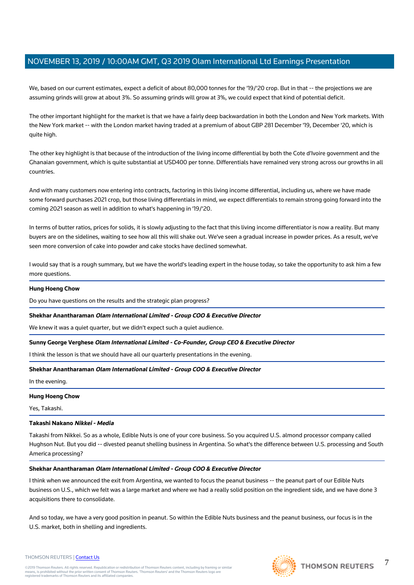We, based on our current estimates, expect a deficit of about 80,000 tonnes for the '19/'20 crop. But in that -- the projections we are assuming grinds will grow at about 3%. So assuming grinds will grow at 3%, we could expect that kind of potential deficit.

The other important highlight for the market is that we have a fairly deep backwardation in both the London and New York markets. With the New York market -- with the London market having traded at a premium of about GBP 281 December '19, December '20, which is quite high.

The other key highlight is that because of the introduction of the living income differential by both the Cote d'Ivoire government and the Ghanaian government, which is quite substantial at USD400 per tonne. Differentials have remained very strong across our growths in all countries.

And with many customers now entering into contracts, factoring in this living income differential, including us, where we have made some forward purchases 2021 crop, but those living differentials in mind, we expect differentials to remain strong going forward into the coming 2021 season as well in addition to what's happening in '19/'20.

In terms of butter ratios, prices for solids, it is slowly adjusting to the fact that this living income differentiator is now a reality. But many buyers are on the sidelines, waiting to see how all this will shake out. We've seen a gradual increase in powder prices. As a result, we've seen more conversion of cake into powder and cake stocks have declined somewhat.

I would say that is a rough summary, but we have the world's leading expert in the house today, so take the opportunity to ask him a few more questions.

## **Hung Hoeng Chow**

Do you have questions on the results and the strategic plan progress?

#### **Shekhar Anantharaman Olam International Limited - Group COO & Executive Director**

We knew it was a quiet quarter, but we didn't expect such a quiet audience.

# **Sunny George Verghese Olam International Limited - Co-Founder, Group CEO & Executive Director**

I think the lesson is that we should have all our quarterly presentations in the evening.

## **Shekhar Anantharaman Olam International Limited - Group COO & Executive Director**

In the evening.

#### **Hung Hoeng Chow**

Yes, Takashi.

#### **Takashi Nakano Nikkei - Media**

Takashi from Nikkei. So as a whole, Edible Nuts is one of your core business. So you acquired U.S. almond processor company called Hughson Nut. But you did -- divested peanut shelling business in Argentina. So what's the difference between U.S. processing and South America processing?

#### **Shekhar Anantharaman Olam International Limited - Group COO & Executive Director**

I think when we announced the exit from Argentina, we wanted to focus the peanut business -- the peanut part of our Edible Nuts business on U.S., which we felt was a large market and where we had a really solid position on the ingredient side, and we have done 3 acquisitions there to consolidate.

And so today, we have a very good position in peanut. So within the Edible Nuts business and the peanut business, our focus is in the U.S. market, both in shelling and ingredients.





7

THOMSON REUTERS | [Contact Us](https://my.thomsonreuters.com/ContactUsNew)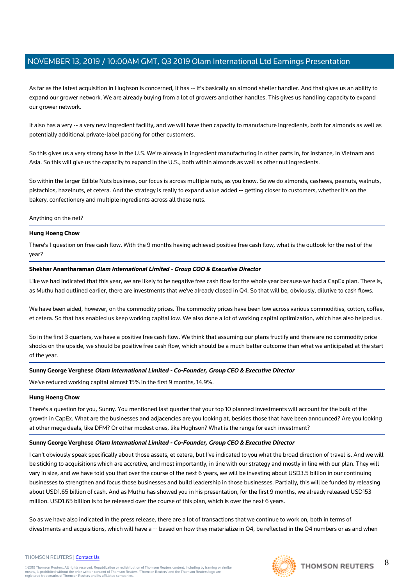As far as the latest acquisition in Hughson is concerned, it has -- it's basically an almond sheller handler. And that gives us an ability to expand our grower network. We are already buying from a lot of growers and other handles. This gives us handling capacity to expand our grower network.

It also has a very -- a very new ingredient facility, and we will have then capacity to manufacture ingredients, both for almonds as well as potentially additional private-label packing for other customers.

So this gives us a very strong base in the U.S. We're already in ingredient manufacturing in other parts in, for instance, in Vietnam and Asia. So this will give us the capacity to expand in the U.S., both within almonds as well as other nut ingredients.

So within the larger Edible Nuts business, our focus is across multiple nuts, as you know. So we do almonds, cashews, peanuts, walnuts, pistachios, hazelnuts, et cetera. And the strategy is really to expand value added -- getting closer to customers, whether it's on the bakery, confectionery and multiple ingredients across all these nuts.

#### Anything on the net?

## **Hung Hoeng Chow**

There's 1 question on free cash flow. With the 9 months having achieved positive free cash flow, what is the outlook for the rest of the year?

## **Shekhar Anantharaman Olam International Limited - Group COO & Executive Director**

Like we had indicated that this year, we are likely to be negative free cash flow for the whole year because we had a CapEx plan. There is, as Muthu had outlined earlier, there are investments that we've already closed in Q4. So that will be, obviously, dilutive to cash flows.

We have been aided, however, on the commodity prices. The commodity prices have been low across various commodities, cotton, coffee, et cetera. So that has enabled us keep working capital low. We also done a lot of working capital optimization, which has also helped us.

So in the first 3 quarters, we have a positive free cash flow. We think that assuming our plans fructify and there are no commodity price shocks on the upside, we should be positive free cash flow, which should be a much better outcome than what we anticipated at the start of the year.

# **Sunny George Verghese Olam International Limited - Co-Founder, Group CEO & Executive Director**

We've reduced working capital almost 15% in the first 9 months, 14.9%.

#### **Hung Hoeng Chow**

There's a question for you, Sunny. You mentioned last quarter that your top 10 planned investments will account for the bulk of the growth in CapEx. What are the businesses and adjacencies are you looking at, besides those that have been announced? Are you looking at other mega deals, like DFM? Or other modest ones, like Hughson? What is the range for each investment?

#### **Sunny George Verghese Olam International Limited - Co-Founder, Group CEO & Executive Director**

I can't obviously speak specifically about those assets, et cetera, but I've indicated to you what the broad direction of travel is. And we will be sticking to acquisitions which are accretive, and most importantly, in line with our strategy and mostly in line with our plan. They will vary in size, and we have told you that over the course of the next 6 years, we will be investing about USD3.5 billion in our continuing businesses to strengthen and focus those businesses and build leadership in those businesses. Partially, this will be funded by releasing about USD1.65 billion of cash. And as Muthu has showed you in his presentation, for the first 9 months, we already released USD153 million. USD1.65 billion is to be released over the course of this plan, which is over the next 6 years.

So as we have also indicated in the press release, there are a lot of transactions that we continue to work on, both in terms of divestments and acquisitions, which will have a -- based on how they materialize in Q4, be reflected in the Q4 numbers or as and when



8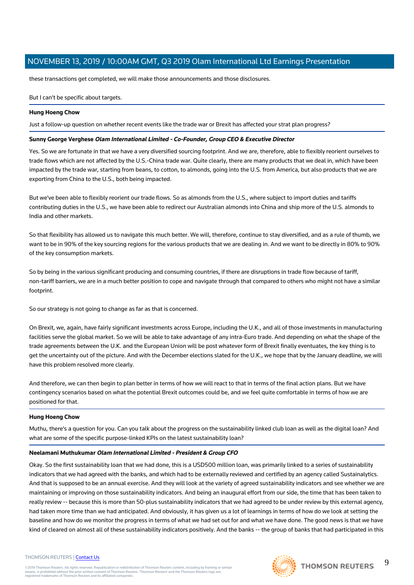these transactions get completed, we will make those announcements and those disclosures.

## But I can't be specific about targets.

## **Hung Hoeng Chow**

Just a follow-up question on whether recent events like the trade war or Brexit has affected your strat plan progress?

## **Sunny George Verghese Olam International Limited - Co-Founder, Group CEO & Executive Director**

Yes. So we are fortunate in that we have a very diversified sourcing footprint. And we are, therefore, able to flexibly reorient ourselves to trade flows which are not affected by the U.S.-China trade war. Quite clearly, there are many products that we deal in, which have been impacted by the trade war, starting from beans, to cotton, to almonds, going into the U.S. from America, but also products that we are exporting from China to the U.S., both being impacted.

But we've been able to flexibly reorient our trade flows. So as almonds from the U.S., where subject to import duties and tariffs contributing duties in the U.S., we have been able to redirect our Australian almonds into China and ship more of the U.S. almonds to India and other markets.

So that flexibility has allowed us to navigate this much better. We will, therefore, continue to stay diversified, and as a rule of thumb, we want to be in 90% of the key sourcing regions for the various products that we are dealing in. And we want to be directly in 80% to 90% of the key consumption markets.

So by being in the various significant producing and consuming countries, if there are disruptions in trade flow because of tariff, non-tariff barriers, we are in a much better position to cope and navigate through that compared to others who might not have a similar footprint.

So our strategy is not going to change as far as that is concerned.

On Brexit, we, again, have fairly significant investments across Europe, including the U.K., and all of those investments in manufacturing facilities serve the global market. So we will be able to take advantage of any intra-Euro trade. And depending on what the shape of the trade agreements between the U.K. and the European Union will be post whatever form of Brexit finally eventuates, the key thing is to get the uncertainty out of the picture. And with the December elections slated for the U.K., we hope that by the January deadline, we will have this problem resolved more clearly.

And therefore, we can then begin to plan better in terms of how we will react to that in terms of the final action plans. But we have contingency scenarios based on what the potential Brexit outcomes could be, and we feel quite comfortable in terms of how we are positioned for that.

#### **Hung Hoeng Chow**

Muthu, there's a question for you. Can you talk about the progress on the sustainability linked club loan as well as the digital loan? And what are some of the specific purpose-linked KPIs on the latest sustainability loan?

#### **Neelamani Muthukumar Olam International Limited - President & Group CFO**

Okay. So the first sustainability loan that we had done, this is a USD500 million loan, was primarily linked to a series of sustainability indicators that we had agreed with the banks, and which had to be externally reviewed and certified by an agency called Sustainalytics. And that is supposed to be an annual exercise. And they will look at the variety of agreed sustainability indicators and see whether we are maintaining or improving on those sustainability indicators. And being an inaugural effort from our side, the time that has been taken to really review -- because this is more than 50-plus sustainability indicators that we had agreed to be under review by this external agency, had taken more time than we had anticipated. And obviously, it has given us a lot of learnings in terms of how do we look at setting the baseline and how do we monitor the progress in terms of what we had set out for and what we have done. The good news is that we have kind of cleared on almost all of these sustainability indicators positively. And the banks -- the group of banks that had participated in this

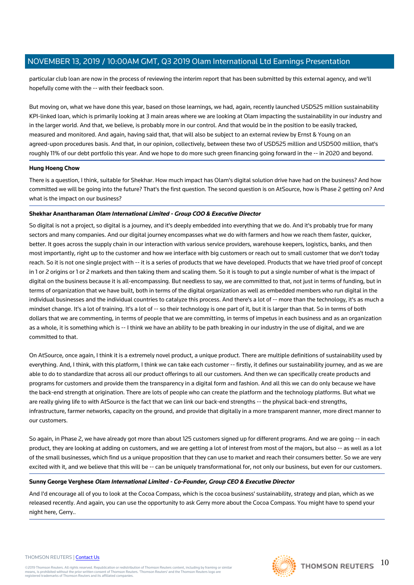particular club loan are now in the process of reviewing the interim report that has been submitted by this external agency, and we'll hopefully come with the -- with their feedback soon.

But moving on, what we have done this year, based on those learnings, we had, again, recently launched USD525 million sustainability KPI-linked loan, which is primarily looking at 3 main areas where we are looking at Olam impacting the sustainability in our industry and in the larger world. And that, we believe, is probably more in our control. And that would be in the position to be easily tracked, measured and monitored. And again, having said that, that will also be subject to an external review by Ernst & Young on an agreed-upon procedures basis. And that, in our opinion, collectively, between these two of USD525 million and USD500 million, that's roughly 11% of our debt portfolio this year. And we hope to do more such green financing going forward in the -- in 2020 and beyond.

## **Hung Hoeng Chow**

There is a question, I think, suitable for Shekhar. How much impact has Olam's digital solution drive have had on the business? And how committed we will be going into the future? That's the first question. The second question is on AtSource, how is Phase 2 getting on? And what is the impact on our business?

## **Shekhar Anantharaman Olam International Limited - Group COO & Executive Director**

So digital is not a project, so digital is a journey, and it's deeply embedded into everything that we do. And it's probably true for many sectors and many companies. And our digital journey encompasses what we do with farmers and how we reach them faster, quicker, better. It goes across the supply chain in our interaction with various service providers, warehouse keepers, logistics, banks, and then most importantly, right up to the customer and how we interface with big customers or reach out to small customer that we don't today reach. So it is not one single project with -- it is a series of products that we have developed. Products that we have tried proof of concept in 1 or 2 origins or 1 or 2 markets and then taking them and scaling them. So it is tough to put a single number of what is the impact of digital on the business because it is all-encompassing. But needless to say, we are committed to that, not just in terms of funding, but in terms of organization that we have built, both in terms of the digital organization as well as embedded members who run digital in the individual businesses and the individual countries to catalyze this process. And there's a lot of -- more than the technology, it's as much a mindset change. It's a lot of training. It's a lot of -- so their technology is one part of it, but it is larger than that. So in terms of both dollars that we are commenting, in terms of people that we are committing, in terms of impetus in each business and as an organization as a whole, it is something which is -- I think we have an ability to be path breaking in our industry in the use of digital, and we are committed to that.

On AtSource, once again, I think it is a extremely novel product, a unique product. There are multiple definitions of sustainability used by everything. And, I think, with this platform, I think we can take each customer -- firstly, it defines our sustainability journey, and as we are able to do to standardize that across all our product offerings to all our customers. And then we can specifically create products and programs for customers and provide them the transparency in a digital form and fashion. And all this we can do only because we have the back-end strength at origination. There are lots of people who can create the platform and the technology platforms. But what we are really giving life to with AtSource is the fact that we can link our back-end strengths -- the physical back-end strengths, infrastructure, farmer networks, capacity on the ground, and provide that digitally in a more transparent manner, more direct manner to our customers.

So again, in Phase 2, we have already got more than about 125 customers signed up for different programs. And we are going -- in each product, they are looking at adding on customers, and we are getting a lot of interest from most of the majors, but also -- as well as a lot of the small businesses, which find us a unique proposition that they can use to market and reach their consumers better. So we are very excited with it, and we believe that this will be -- can be uniquely transformational for, not only our business, but even for our customers.

#### **Sunny George Verghese Olam International Limited - Co-Founder, Group CEO & Executive Director**

And I'd encourage all of you to look at the Cocoa Compass, which is the cocoa business' sustainability, strategy and plan, which as we released recently. And again, you can use the opportunity to ask Gerry more about the Cocoa Compass. You might have to spend your night here, Gerry..

#### THOMSON REUTERS | [Contact Us](https://my.thomsonreuters.com/ContactUsNew)

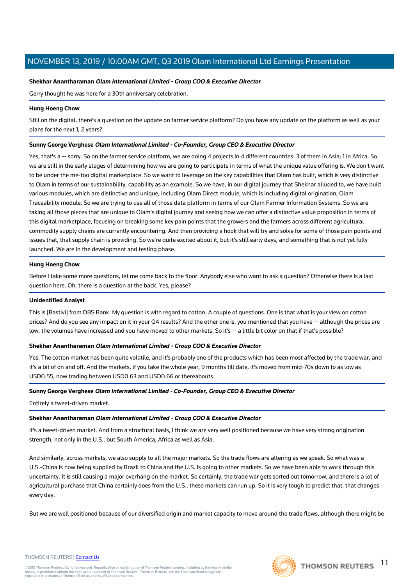## **Shekhar Anantharaman Olam International Limited - Group COO & Executive Director**

Gerry thought he was here for a 30th anniversary celebration.

## **Hung Hoeng Chow**

Still on the digital, there's a question on the update on farmer service platform? Do you have any update on the platform as well as your plans for the next 1, 2 years?

## **Sunny George Verghese Olam International Limited - Co-Founder, Group CEO & Executive Director**

Yes, that's a -- sorry. So on the farmer service platform, we are doing 4 projects in 4 different countries: 3 of them in Asia; 1 in Africa. So we are still in the early stages of determining how we are going to participate in terms of what the unique value offering is. We don't want to be under the me-too digital marketplace. So we want to leverage on the key capabilities that Olam has built, which is very distinctive to Olam in terms of our sustainability, capability as an example. So we have, in our digital journey that Shekhar alluded to, we have built various modules, which are distinctive and unique, including Olam Direct module, which is including digital origination, Olam Traceability module. So we are trying to use all of those data platform in terms of our Olam Farmer Information Systems. So we are taking all those pieces that are unique to Olam's digital journey and seeing how we can offer a distinctive value proposition in terms of this digital marketplace, focusing on breaking some key pain points that the growers and the farmers across different agricultural commodity supply chains are currently encountering. And then providing a hook that will try and solve for some of those pain points and issues that, that supply chain is providing. So we're quite excited about it, but it's still early days, and something that is not yet fully launched. We are in the development and testing phase.

#### **Hung Hoeng Chow**

Before I take some more questions, let me come back to the floor. Anybody else who want to ask a question? Otherwise there is a last question here. Oh, there is a question at the back. Yes, please?

#### **Unidentified Analyst**

This is [Bastivi] from DBS Bank. My question is with regard to cotton. A couple of questions. One is that what is your view on cotton prices? And do you see any impact on it in your Q4 results? And the other one is, you mentioned that you have -- although the prices are low, the volumes have increased and you have moved to other markets. So it's -- a little bit color on that if that's possible?

# **Shekhar Anantharaman Olam International Limited - Group COO & Executive Director**

Yes. The cotton market has been quite volatile, and it's probably one of the products which has been most affected by the trade war, and it's a bit of on and off. And the markets, if you take the whole year, 9 months till date, it's moved from mid-70s down to as low as USD0.55, now trading between USD0.63 and USD0.66 or thereabouts.

# **Sunny George Verghese Olam International Limited - Co-Founder, Group CEO & Executive Director**

Entirely a tweet-driven market.

# **Shekhar Anantharaman Olam International Limited - Group COO & Executive Director**

It's a tweet-driven market. And from a structural basis, I think we are very well positioned because we have very strong origination strength, not only in the U.S., but South America, Africa as well as Asia.

And similarly, across markets, we also supply to all the major markets. So the trade flows are altering as we speak. So what was a U.S.-China is now being supplied by Brazil to China and the U.S. is going to other markets. So we have been able to work through this uncertainty. It is still causing a major overhang on the market. So certainly, the trade war gets sorted out tomorrow, and there is a lot of agricultural purchase that China certainly does from the U.S., these markets can run up. So it is very tough to predict that, that changes every day.

But we are well positioned because of our diversified origin and market capacity to move around the trade flows, although there might be

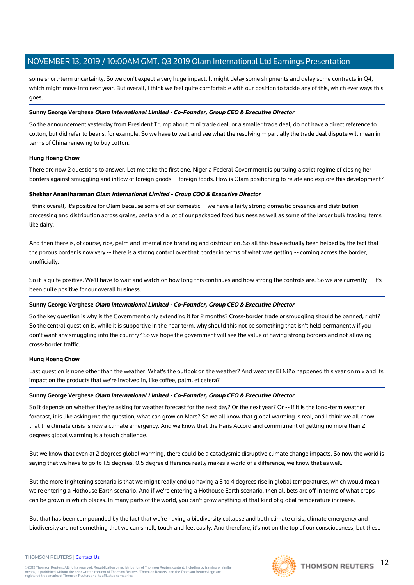some short-term uncertainty. So we don't expect a very huge impact. It might delay some shipments and delay some contracts in Q4, which might move into next year. But overall, I think we feel quite comfortable with our position to tackle any of this, which ever ways this goes.

## **Sunny George Verghese Olam International Limited - Co-Founder, Group CEO & Executive Director**

So the announcement yesterday from President Trump about mini trade deal, or a smaller trade deal, do not have a direct reference to cotton, but did refer to beans, for example. So we have to wait and see what the resolving -- partially the trade deal dispute will mean in terms of China renewing to buy cotton.

## **Hung Hoeng Chow**

There are now 2 questions to answer. Let me take the first one. Nigeria Federal Government is pursuing a strict regime of closing her borders against smuggling and inflow of foreign goods -- foreign foods. How is Olam positioning to relate and explore this development?

## **Shekhar Anantharaman Olam International Limited - Group COO & Executive Director**

I think overall, it's positive for Olam because some of our domestic -- we have a fairly strong domestic presence and distribution - processing and distribution across grains, pasta and a lot of our packaged food business as well as some of the larger bulk trading items like dairy.

And then there is, of course, rice, palm and internal rice branding and distribution. So all this have actually been helped by the fact that the porous border is now very -- there is a strong control over that border in terms of what was getting -- coming across the border, unofficially.

So it is quite positive. We'll have to wait and watch on how long this continues and how strong the controls are. So we are currently -- it's been quite positive for our overall business.

# **Sunny George Verghese Olam International Limited - Co-Founder, Group CEO & Executive Director**

So the key question is why is the Government only extending it for 2 months? Cross-border trade or smuggling should be banned, right? So the central question is, while it is supportive in the near term, why should this not be something that isn't held permanently if you don't want any smuggling into the country? So we hope the government will see the value of having strong borders and not allowing cross-border traffic.

#### **Hung Hoeng Chow**

Last question is none other than the weather. What's the outlook on the weather? And weather El Niño happened this year on mix and its impact on the products that we're involved in, like coffee, palm, et cetera?

# **Sunny George Verghese Olam International Limited - Co-Founder, Group CEO & Executive Director**

So it depends on whether they're asking for weather forecast for the next day? Or the next year? Or -- if it is the long-term weather forecast, it is like asking me the question, what can grow on Mars? So we all know that global warming is real, and I think we all know that the climate crisis is now a climate emergency. And we know that the Paris Accord and commitment of getting no more than 2 degrees global warming is a tough challenge.

But we know that even at 2 degrees global warming, there could be a cataclysmic disruptive climate change impacts. So now the world is saying that we have to go to 1.5 degrees. 0.5 degree difference really makes a world of a difference, we know that as well.

But the more frightening scenario is that we might really end up having a 3 to 4 degrees rise in global temperatures, which would mean we're entering a Hothouse Earth scenario. And if we're entering a Hothouse Earth scenario, then all bets are off in terms of what crops can be grown in which places. In many parts of the world, you can't grow anything at that kind of global temperature increase.

But that has been compounded by the fact that we're having a biodiversity collapse and both climate crisis, climate emergency and biodiversity are not something that we can smell, touch and feel easily. And therefore, it's not on the top of our consciousness, but these





#### THOMSON REUTERS | [Contact Us](https://my.thomsonreuters.com/ContactUsNew)